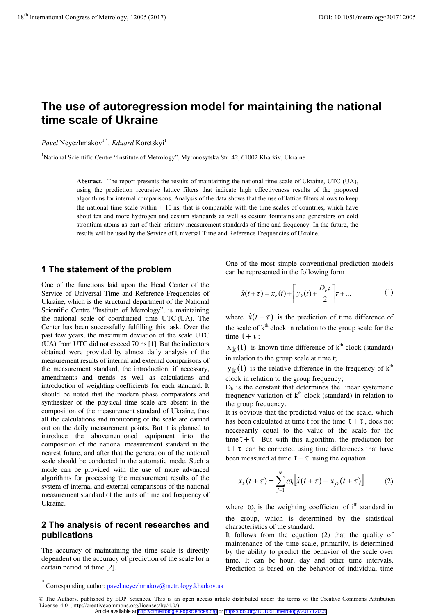# **The use of autoregression model for maintaining the national time scale of Ukraine**

 $Pavel$  Neyezhmakov<sup>1,\*</sup>, *Eduard* Koretskyi<sup>1</sup>

<sup>1</sup>National Scientific Centre "Institute of Metrology", Myronosytska Str. 42, 61002 Kharkiv, Ukraine.

**Abstract.** The report presents the results of maintaining the national time scale of Ukraine, UTC (UA), using the prediction recursive lattice filters that indicate high effectiveness results of the proposed algorithms for internal comparisons. Analysis of the data shows that the use of lattice filters allows to keep the national time scale within  $\pm$  10 ns, that is comparable with the time scales of countries, which have about ten and more hydrogen and cesium standards as well as cesium fountains and generators on cold strontium atoms as part of their primary measurement standards of time and frequency. In the future, the results will be used by the Service of Universal Time and Reference Frequencies of Ukraine.

#### **1 The statement of the problem**

One of the functions laid upon the Head Center of the Service of Universal Time and Reference Frequencies of Ukraine, which is the structural department of the National Scientific Centre "Institute of Metrology", is maintaining the national scale of coordinated time UTC (UA). The Center has been successfully fulfilling this task. Over the past few years, the maximum deviation of the scale UTC (UA) from UTC did not exceed 70 ns [1]. But the indicators obtained were provided by almost daily analysis of the measurement results of internal and external comparisons of the measurement standard, the introduction, if necessary, amendments and trends as well as calculations and introduction of weighting coefficients for each standard. It should be noted that the modern phase comparators and synthesizer of the physical time scale are absent in the composition of the measurement standard of Ukraine, thus all the calculations and monitoring of the scale are carried out on the daily measurement points. But it is planned to introduce the abovementioned equipment into the composition of the national measurement standard in the nearest future, and after that the generation of the national scale should be conducted in the automatic mode. Such a mode can be provided with the use of more advanced algorithms for processing the measurement results of the system of internal and external comparisons of the national measurement standard of the units of time and frequency of Ukraine.

#### **2 The analysis of recent researches and publications**

The accuracy of maintaining the time scale is directly dependent on the accuracy of prediction of the scale for a certain period of time [2].

One of the most simple conventional prediction models can be represented in the following form

$$
\hat{x}(t+\tau) = x_k(t) + \left[ y_k(t) + \frac{D_k \tau}{2} \right] \tau + \dots \tag{1}
$$

where  $\hat{x}(t+\tau)$  is the prediction of time difference of the scale of  $k<sup>th</sup>$  clock in relation to the group scale for the time  $t + \tau$ ;

 $x_k(t)$  is known time difference of  $k^{th}$  clock (standard) in relation to the group scale at time t;

 $y_k(t)$  is the relative difference in the frequency of  $k^{th}$ clock in relation to the group frequency;

 $D_k$  is the constant that determines the linear systematic frequency variation of  $k<sup>th</sup>$  clock (standard) in relation to the group frequency.

It is obvious that the predicted value of the scale, which has been calculated at time t for the time  $t + \tau$ , does not necessarily equal to the value of the scale for the time  $t + \tau$ . But with this algorithm, the prediction for  $t + \tau$  can be corrected using time differences that have been measured at time  $t + \tau$  using the equation

$$
x_k(t+\tau) = \sum_{j=1}^N \omega_j \Big[ \hat{x}(t+\tau) - x_{jk}(t+\tau) \Big] \tag{2}
$$

where  $\omega_i$  is the weighting coefficient of i<sup>th</sup> standard in the group, which is determined by the statistical characteristics of the standard.

It follows from the equation (2) that the quality of maintenance of the time scale, primarily, is determined by the ability to predict the behavior of the scale over time. It can be hour, day and other time intervals. Prediction is based on the behavior of individual time

<sup>\*</sup> Corresponding author: pavel.neyezhmakov@metrology.kharkov.ua

<sup>©</sup> The Authors, published by EDP Sciences. This is an open access article distributed under the terms of the Creative Commons Attribution License 4.0 (http://creativecommons.org/licenses/by/4.0/). Article available at <http://cfmetrologie.edpsciences.org> or <https://doi.org/10.1051/metrology/201712005>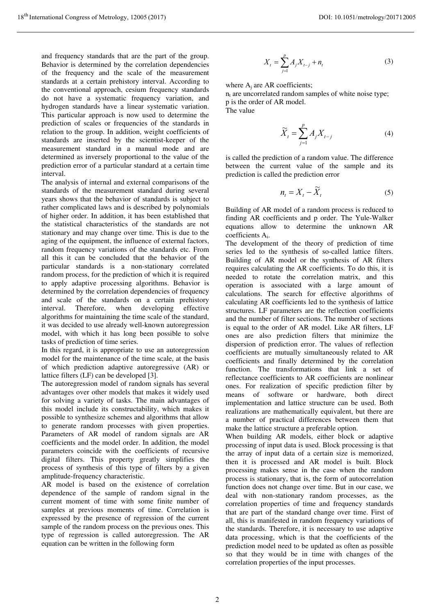and frequency standards that are the part of the group. Behavior is determined by the correlation dependencies of the frequency and the scale of the measurement standards at a certain prehistory interval. According to the conventional approach, cesium frequency standards do not have a systematic frequency variation, and hydrogen standards have a linear systematic variation. This particular approach is now used to determine the prediction of scales or frequencies of the standards in relation to the group. In addition, weight coefficients of standards are inserted by the scientist-keeper of the measurement standard in a manual mode and are determined as inversely proportional to the value of the prediction error of a particular standard at a certain time interval.

The analysis of internal and external comparisons of the standards of the measurement standard during several years shows that the behavior of standards is subject to rather complicated laws and is described by polynomials of higher order. In addition, it has been established that the statistical characteristics of the standards are not stationary and may change over time. This is due to the aging of the equipment, the influence of external factors, random frequency variations of the standards etc. From all this it can be concluded that the behavior of the particular standards is a non-stationary correlated random process, for the prediction of which it is required to apply adaptive processing algorithms. Behavior is determined by the correlation dependencies of frequency and scale of the standards on a certain prehistory<br>interval. Therefore, when developing effective developing effective algorithms for maintaining the time scale of the standard, it was decided to use already well-known autoregression model, with which it has long been possible to solve tasks of prediction of time series.

In this regard, it is appropriate to use an autoregression model for the maintenance of the time scale, at the basis of which prediction adaptive autoregressive (AR) or lattice filters (LF) can be developed [3].

The autoregression model of random signals has several advantages over other models that makes it widely used for solving a variety of tasks. The main advantages of this model include its constructability, which makes it possible to synthesize schemes and algorithms that allow to generate random processes with given properties. Parameters of AR model of random signals are AR coefficients and the model order. In addition, the model parameters coincide with the coefficients of recursive digital filters. This property greatly simplifies the process of synthesis of this type of filters by a given amplitude-frequency characteristic.

AR model is based on the existence of correlation dependence of the sample of random signal in the current moment of time with some finite number of samples at previous moments of time. Correlation is expressed by the presence of regression of the current sample of the random process on the previous ones. This type of regression is called autoregression. The AR equation can be written in the following form

$$
X_{t} = \sum_{j=1}^{p} A_{j} X_{t-j} + n_{t}
$$
 (3)

where  $A_i$  are AR coefficients;  $n_t$  are uncorrelated random samples of white noise type;

p is the order of AR model. The value

> $=\sum_{i=1}^{p}A_{i}X_{t-1}$ *j*  $\widetilde{X}_t = \sum A_i X_{t-1}$ 1  $\widetilde{X}_t = \sum_{i=1}^{p} A_i X_{t-i}$  (4)

is called the prediction of a random value. The difference between the current value of the sample and its prediction is called the prediction error

$$
n_t = X_t - \widetilde{X}_t \tag{5}
$$

Building of AR model of a random process is reduced to finding AR coefficients and p order. The Yule-Walker equations allow to determine the unknown AR coefficients Ai.

The development of the theory of prediction of time series led to the synthesis of so-called lattice filters. Building of AR model or the synthesis of AR filters requires calculating the AR coefficients. To do this, it is needed to rotate the correlation matrix, and this operation is associated with a large amount of calculations. The search for effective algorithms of calculating AR coefficients led to the synthesis of lattice structures. LF parameters are the reflection coefficients and the number of filter sections. The number of sections is equal to the order of AR model. Like AR filters, LF ones are also prediction filters that minimize the dispersion of prediction error. The values of reflection coefficients are mutually simultaneously related to AR coefficients and finally determined by the correlation function. The transformations that link a set of reflectance coefficients to AR coefficients are nonlinear ones. For realization of specific prediction filter by means of software or hardware, both direct implementation and lattice structure can be used. Both realizations are mathematically equivalent, but there are a number of practical differences between them that make the lattice structure a preferable option.

When building AR models, either block or adaptive processing of input data is used. Block processing is that the array of input data of a certain size is memorized, then it is processed and AR model is built. Block processing makes sense in the case when the random process is stationary, that is, the form of autocorrelation function does not change over time. But in our case, we deal with non-stationary random processes, as the correlation properties of time and frequency standards that are part of the standard change over time. First of all, this is manifested in random frequency variations of the standards. Therefore, it is necessary to use adaptive data processing, which is that the coefficients of the prediction model need to be updated as often as possible so that they would be in time with changes of the correlation properties of the input processes.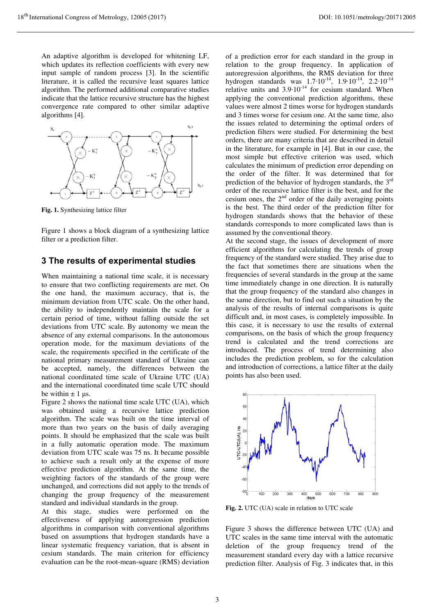An adaptive algorithm is developed for whitening LF, which updates its reflection coefficients with every new input sample of random process [3]. In the scientific literature, it is called the recursive least squares lattice algorithm. The performed additional comparative studies indicate that the lattice recursive structure has the highest convergence rate compared to other similar adaptive algorithms [4].



**Fig. 1.** Synthesizing lattice filter

Figure 1 shows a block diagram of a synthesizing lattice filter or a prediction filter.

#### **3 The results of experimental studies**

When maintaining a national time scale, it is necessary to ensure that two conflicting requirements are met. On the one hand, the maximum accuracy, that is, the minimum deviation from UTC scale. On the other hand, the ability to independently maintain the scale for a certain period of time, without falling outside the set deviations from UTC scale. By autonomy we mean the absence of any external comparisons. In the autonomous operation mode, for the maximum deviations of the scale, the requirements specified in the certificate of the national primary measurement standard of Ukraine can be accepted, namely, the differences between the national coordinated time scale of Ukraine UTC (UA) and the international coordinated time scale UTC should be within  $\pm$  1 µs.

Figure 2 shows the national time scale UTC (UA), which was obtained using a recursive lattice prediction algorithm. The scale was built on the time interval of more than two years on the basis of daily averaging points. It should be emphasized that the scale was built in a fully automatic operation mode. The maximum deviation from UTC scale was 75 ns. It became possible to achieve such a result only at the expense of more effective prediction algorithm. At the same time, the weighting factors of the standards of the group were unchanged, and corrections did not apply to the trends of changing the group frequency of the measurement standard and individual standards in the group.

At this stage, studies were performed on the effectiveness of applying autoregression prediction algorithms in comparison with conventional algorithms based on assumptions that hydrogen standards have a linear systematic frequency variation, that is absent in cesium standards. The main criterion for efficiency evaluation can be the root-mean-square (RMS) deviation

of a prediction error for each standard in the group in relation to the group frequency. In application of autoregression algorithms, the RMS deviation for three hydrogen standards was  $1.7 \cdot 10^{-14}$ ,  $1.9 \cdot 10^{-14}$ ,  $2.2 \cdot 10^{-14}$ relative units and  $3.9 \cdot 10^{-14}$  for cesium standard. When applying the conventional prediction algorithms, these values were almost 2 times worse for hydrogen standards and 3 times worse for cesium one. At the same time, also the issues related to determining the optimal orders of prediction filters were studied. For determining the best orders, there are many criteria that are described in detail in the literature, for example in [4]. But in our case, the most simple but effective criterion was used, which calculates the minimum of prediction error depending on the order of the filter. It was determined that for prediction of the behavior of hydrogen standards, the  $3<sup>rd</sup>$ order of the recursive lattice filter is the best, and for the cesium ones, the  $2<sup>nd</sup>$  order of the daily averaging points is the best. The third order of the prediction filter for hydrogen standards shows that the behavior of these standards corresponds to more complicated laws than is assumed by the conventional theory.

At the second stage, the issues of development of more efficient algorithms for calculating the trends of group frequency of the standard were studied. They arise due to the fact that sometimes there are situations when the frequencies of several standards in the group at the same time immediately change in one direction. It is naturally that the group frequency of the standard also changes in the same direction, but to find out such a situation by the analysis of the results of internal comparisons is quite difficult and, in most cases, is completely impossible. In this case, it is necessary to use the results of external comparisons, on the basis of which the group frequency trend is calculated and the trend corrections are introduced. The process of trend determining also includes the prediction problem, so for the calculation and introduction of corrections, a lattice filter at the daily points has also been used.



**Fig. 2.** UTC (UA) scale in relation to UTC scale

Figure 3 shows the difference between UTC (UA) and UTC scales in the same time interval with the automatic deletion of the group frequency trend of the measurement standard every day with a lattice recursive prediction filter. Analysis of Fig. 3 indicates that, in this